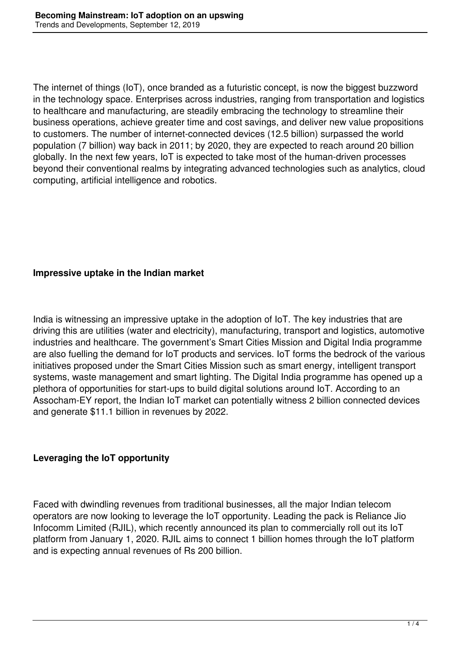The internet of things (IoT), once branded as a futuristic concept, is now the biggest buzzword in the technology space. Enterprises across industries, ranging from transportation and logistics to healthcare and manufacturing, are steadily embracing the technology to streamline their business operations, achieve greater time and cost savings, and deliver new value propositions to customers. The number of internet-connected devices (12.5 billion) surpassed the world population (7 billion) way back in 2011; by 2020, they are expected to reach around 20 billion globally. In the next few years, IoT is expected to take most of the human-driven processes beyond their conventional realms by integrating advanced technologies such as analytics, cloud computing, artificial intelligence and robotics.

### **Impressive uptake in the Indian market**

India is witnessing an impressive uptake in the adoption of IoT. The key industries that are driving this are utilities (water and electricity), manufacturing, transport and logistics, automotive industries and healthcare. The government's Smart Cities Mission and Digital India programme are also fuelling the demand for IoT products and services. IoT forms the bedrock of the various initiatives proposed under the Smart Cities Mission such as smart energy, intelligent transport systems, waste management and smart lighting. The Digital India programme has opened up a plethora of opportunities for start-ups to build digital solutions around IoT. According to an Assocham-EY report, the Indian IoT market can potentially witness 2 billion connected devices and generate \$11.1 billion in revenues by 2022.

#### **Leveraging the IoT opportunity**

Faced with dwindling revenues from traditional businesses, all the major Indian telecom operators are now looking to leverage the IoT opportunity. Leading the pack is Reliance Jio Infocomm Limited (RJIL), which recently announced its plan to commercially roll out its IoT platform from January 1, 2020. RJIL aims to connect 1 billion homes through the IoT platform and is expecting annual revenues of Rs 200 billion.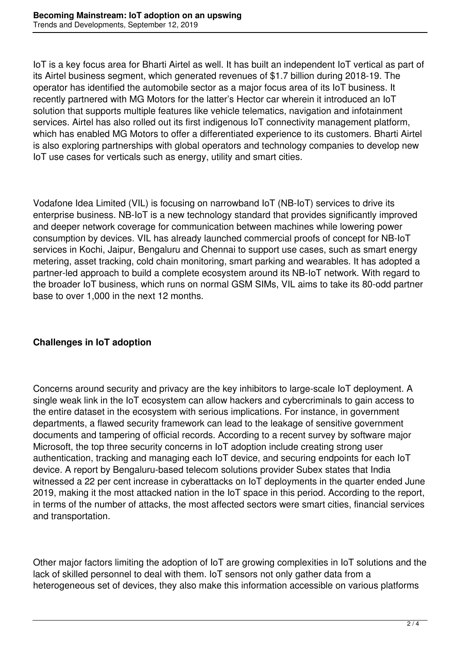IoT is a key focus area for Bharti Airtel as well. It has built an independent IoT vertical as part of its Airtel business segment, which generated revenues of \$1.7 billion during 2018-19. The operator has identified the automobile sector as a major focus area of its IoT business. It recently partnered with MG Motors for the latter's Hector car wherein it introduced an IoT solution that supports multiple features like vehicle telematics, navigation and infotainment services. Airtel has also rolled out its first indigenous IoT connectivity management platform, which has enabled MG Motors to offer a differentiated experience to its customers. Bharti Airtel is also exploring partnerships with global operators and technology companies to develop new IoT use cases for verticals such as energy, utility and smart cities.

Vodafone Idea Limited (VIL) is focusing on narrowband IoT (NB-IoT) services to drive its enterprise business. NB-IoT is a new technology standard that provides significantly improved and deeper network coverage for communication between machines while lowering power consumption by devices. VIL has already launched commercial proofs of concept for NB-IoT services in Kochi, Jaipur, Bengaluru and Chennai to support use cases, such as smart energy metering, asset tracking, cold chain monitoring, smart parking and wearables. It has adopted a partner-led approach to build a complete ecosystem around its NB-IoT network. With regard to the broader IoT business, which runs on normal GSM SIMs, VIL aims to take its 80-odd partner base to over 1,000 in the next 12 months.

# **Challenges in IoT adoption**

Concerns around security and privacy are the key inhibitors to large-scale IoT deployment. A single weak link in the IoT ecosystem can allow hackers and cybercriminals to gain access to the entire dataset in the ecosystem with serious implications. For instance, in government departments, a flawed security framework can lead to the leakage of sensitive government documents and tampering of official records. According to a recent survey by software major Microsoft, the top three security concerns in IoT adoption include creating strong user authentication, tracking and managing each IoT device, and securing endpoints for each IoT device. A report by Bengaluru-based telecom solutions provider Subex states that India witnessed a 22 per cent increase in cyberattacks on IoT deployments in the quarter ended June 2019, making it the most attacked nation in the IoT space in this period. According to the report, in terms of the number of attacks, the most affected sectors were smart cities, financial services and transportation.

Other major factors limiting the adoption of IoT are growing complexities in IoT solutions and the lack of skilled personnel to deal with them. IoT sensors not only gather data from a heterogeneous set of devices, they also make this information accessible on various platforms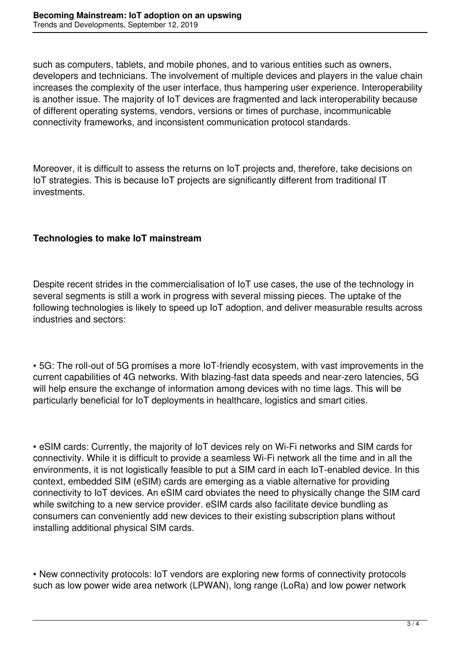such as computers, tablets, and mobile phones, and to various entities such as owners, developers and technicians. The involvement of multiple devices and players in the value chain increases the complexity of the user interface, thus hampering user experience. Interoperability is another issue. The majority of IoT devices are fragmented and lack interoperability because of different operating systems, vendors, versions or times of purchase, incommunicable connectivity frameworks, and inconsistent communication protocol standards.

Moreover, it is difficult to assess the returns on IoT projects and, therefore, take decisions on IoT strategies. This is because IoT projects are significantly different from traditional IT investments.

# **Technologies to make IoT mainstream**

Despite recent strides in the commercialisation of IoT use cases, the use of the technology in several segments is still a work in progress with several missing pieces. The uptake of the following technologies is likely to speed up IoT adoption, and deliver measurable results across industries and sectors:

• 5G: The roll-out of 5G promises a more IoT-friendly ecosystem, with vast improvements in the current capabilities of 4G networks. With blazing-fast data speeds and near-zero latencies, 5G will help ensure the exchange of information among devices with no time lags. This will be particularly beneficial for IoT deployments in healthcare, logistics and smart cities.

• eSIM cards: Currently, the majority of IoT devices rely on Wi-Fi networks and SIM cards for connectivity. While it is difficult to provide a seamless Wi-Fi network all the time and in all the environments, it is not logistically feasible to put a SIM card in each IoT-enabled device. In this context, embedded SIM (eSIM) cards are emerging as a viable alternative for providing connectivity to IoT devices. An eSIM card obviates the need to physically change the SIM card while switching to a new service provider. eSIM cards also facilitate device bundling as consumers can conveniently add new devices to their existing subscription plans without installing additional physical SIM cards.

• New connectivity protocols: IoT vendors are exploring new forms of connectivity protocols such as low power wide area network (LPWAN), long range (LoRa) and low power network